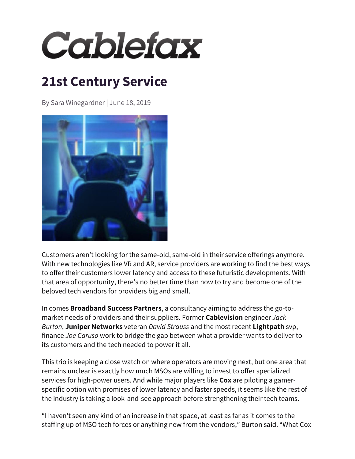## Cablefax

## **21st Century Service**

By Sara Winegardner | June 18, 2019



Customers aren't looking for the same-old, same-old in their service offerings anymore. With new technologies like VR and AR, service providers are working to find the best ways to offer their customers lower latency and access to these futuristic developments. With that area of opportunity, there's no better time than now to try and become one of the beloved tech vendors for providers big and small.

In comes **Broadband Success Partners**, a consultancy aiming to address the go-tomarket needs of providers and their suppliers. Former **Cablevision** engineer *Jack Burton*, **Juniper Networks** veteran *David Strauss* and the most recent **Lightpath** svp, finance *Joe Caruso* work to bridge the gap between what a provider wants to deliver to its customers and the tech needed to power it all.

This trio is keeping a close watch on where operators are moving next, but one area that remains unclear is exactly how much MSOs are willing to invest to offer specialized services for high-power users. And while major players like **Cox** are piloting a gamerspecific option with promises of lower latency and faster speeds, it seems like the rest of the industry is taking a look-and-see approach before strengthening their tech teams.

"I haven't seen any kind of an increase in that space, at least as far as it comes to the staffing up of MSO tech forces or anything new from the vendors," Burton said. "What Cox